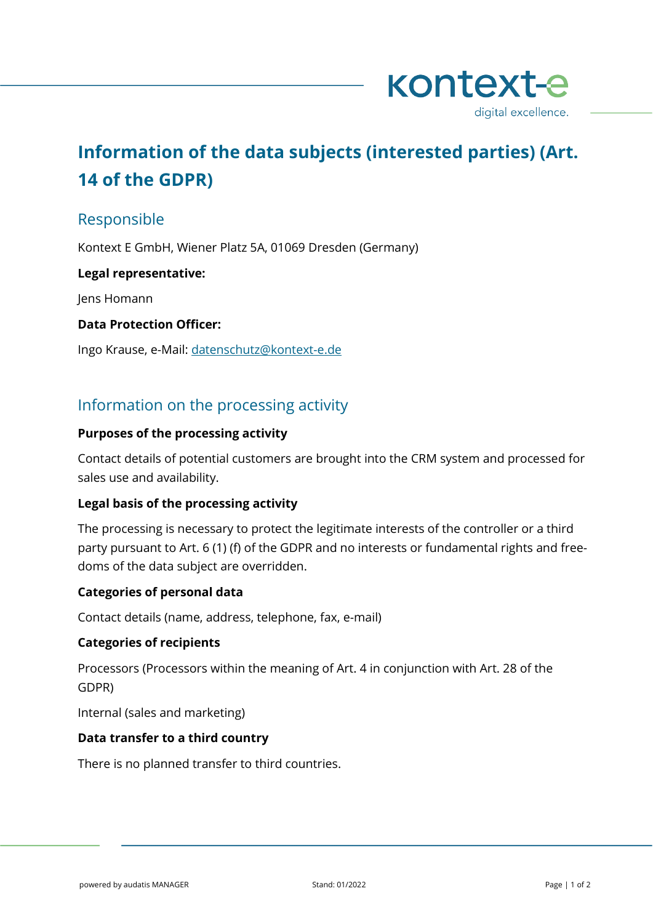

# **Information of the data subjects (interested parties) (Art. 14 of the GDPR)**

## Responsible

Kontext E GmbH, Wiener Platz 5A, 01069 Dresden (Germany)

#### **Legal representative:**

Jens Homann

#### **Data Protection Officer:**

Ingo Krause, e-Mail: [datenschutz@kontext-e.de](mailto:datenschutz@kontext-e.de)

# Information on the processing activity

#### **Purposes of the processing activity**

Contact details of potential customers are brought into the CRM system and processed for sales use and availability.

## **Legal basis of the processing activity**

The processing is necessary to protect the legitimate interests of the controller or a third party pursuant to Art. 6 (1) (f) of the GDPR and no interests or fundamental rights and freedoms of the data subject are overridden.

## **Categories of personal data**

Contact details (name, address, telephone, fax, e-mail)

#### **Categories of recipients**

Processors (Processors within the meaning of Art. 4 in conjunction with Art. 28 of the GDPR)

Internal (sales and marketing)

#### **Data transfer to a third country**

There is no planned transfer to third countries.